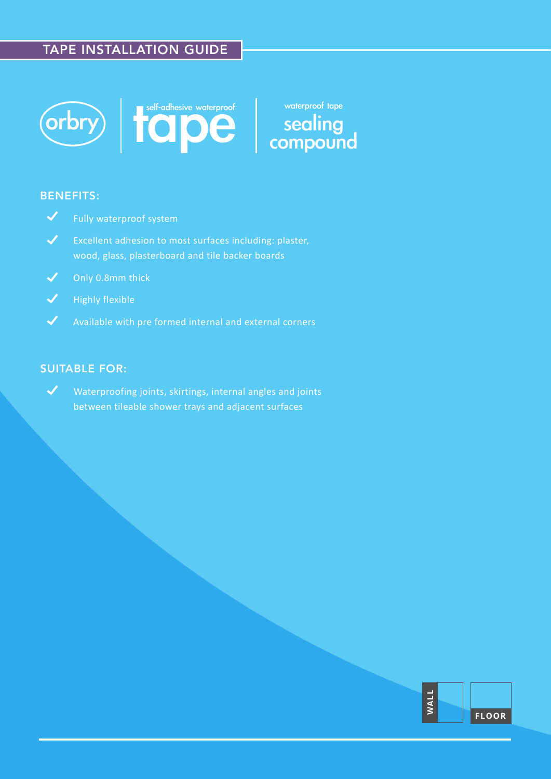### TAPE INSTALLATION GUIDE





sealing compound waterproof tape

### BENEFITS:



- $\checkmark$ Excellent adhesion to most surfaces including: plaster, wood, glass, plasterboard and tile backer boards
- $\blacktriangledown$ Only 0.8mm thick
- $\blacktriangledown$ Highly flexible
- $\blacktriangledown$

### SUITABLE FOR:

 $\boldsymbol{\mathcal{J}}$ Waterproofing joints, skirtings, internal angles and joints between tileable shower trays and adjacent surfaces

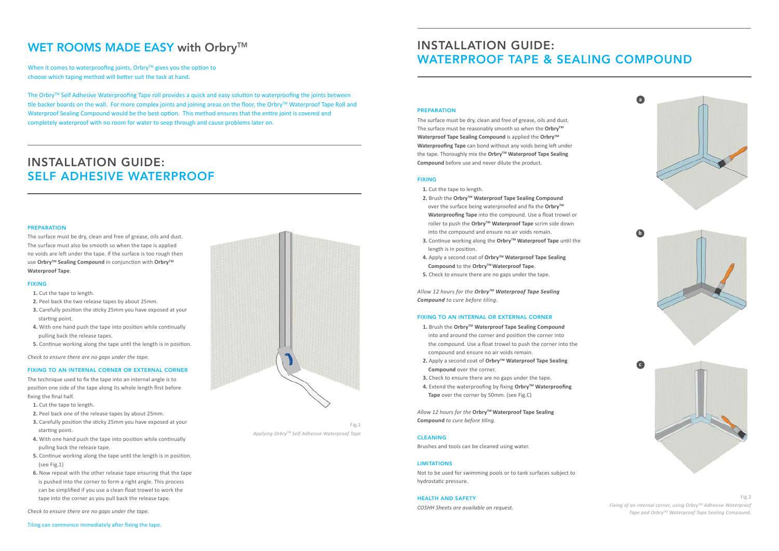### PREPARATION

The surface must be dry, clean and free of grease, oils and dust. The surface must be reasonably smooth so when the Orbry<sup>™</sup> **Waterproof Tape Sealing Compound** is applied the **OrbryTM Waterproofing Tape** can bond without any voids being left under the tape. Thoroughly mix the **Orbry™ Waterproof Tape Sealing Compound** before use and never dilute the product.

### FIXING

- **1.** Cut the tape to length.
- **2.** Brush the **OrbryTM Waterproof Tape Sealing Compound** over the surface being waterproofed and fix the Orbry<sup>™</sup>  **Waterproofing Tape** into the compound. Use a float trowel or roller to push the Orbry<sup>™</sup> Waterproof Tape scrim side down into the compound and ensure no air voids remain.
- **3.** Continue working along the **Orbry™ Waterproof Tape** until the length is in position.
- **4.** Apply a second coat of **OrbryTM Waterproof Tape Sealing Compound** to the **OrbryTM Waterproof Tape**.
- **5.** Check to ensure there are no gaps under the tape.

*Allow 12 hours for the OrbryTM Waterproof Tape Sealing Compound to cure before tiling.* 

#### FIXING TO AN INTERNAL OR EXTERNAL CORNER

- **1.** Brush the **OrbryTM Waterproof Tape Sealing Compound** into and around the corner and position the corner into the compound. Use a float trowel to push the corner into the compound and ensure no air voids remain.
- **2.** Apply a second coat of Orbry<sup>™</sup> Waterproof Tape Sealing  **Compound** over the corner.
- **3.** Check to ensure there are no gaps under the tape.
- **4.** Extend the waterproofing by fixing Orbry™ Waterproofing  **Tape** over the corner by 50mm. (see Fig.C)

*Allow 12 hours for the* **OrbryTM Waterproof Tape Sealing Compound** *to cure before tiling.* 

### CLEANING

Brushes and tools can be cleaned using water.

### **LIMITATIONS**

Not to be used for swimming pools or to tank surfaces subject to hydrostatic pressure.

### HEALTH AND SAFETY

*COSHH Sheets are available on request.* 

# INSTALLATION GUIDE: WATERPROOF TAPE & SEALING COMPOUND

# WET ROOMS MADE EASY with Orbry™

When it comes to waterproofing joints, Orbry™ gives you the option to choose which taping method will better suit the task at hand.

> Fig.2 *Fixing of an internal corner, using OrbryTM Adhesive Waterproof Tape and OrbryTM Waterproof Tape Sealing Compound.*



### PREPARATION

The Orbry™ Self Adhesive Waterproofing Tape roll provides a quick and easy solution to waterproofing the joints between tile backer boards on the wall. For more complex joints and joining areas on the floor, the Orbry™ Waterproof Tape Roll and Waterproof Sealing Compound would be the best option. This method ensures that the entire joint is covered and completely waterproof with no room for water to seep through and cause problems later on.

The surface must be dry, clean and free of grease, oils and dust. The surface must also be smooth so when the tape is applied no voids are left under the tape. If the surface is too rough then use **OrbryTM Sealing Compound** in conjunction with **OrbryTM Waterproof Tape**.

#### FIXING

- **1.** Cut the tape to length.
- **2.** Peel back the two release tapes by about 25mm.
- **3.** Carefully position the sticky 25mm you have exposed at your starting point.
- **4.** With one hand push the tape into position while continually pulling back the release tapes.
- **5.** Continue working along the tape until the length is in position.

*Check to ensure there are no gaps under the tape.*

### FIXING TO AN INTERNAL CORNER OR EXTERNAL CORNER

The technique used to fix the tape into an internal angle is to position one side of the tape along its whole length first before fixing the final half.

 **1.** Cut the tape to length.

- **2.** Peel back one of the release tapes by about 25mm.
- **3.** Carefully position the sticky 25mm you have exposed at your starting point.
- **4.** With one hand push the tape into position while continually pulling back the release tape.
- **5.** Continue working along the tape until the length is in position. (see Fig.1)
- **6.** Now repeat with the other release tape ensuring that the tape is pushed into the corner to form a right angle. This process can be simplified if you use a clean float trowel to work the tape into the corner as you pull back the release tape.

*Check to ensure there are no gaps under the tape.* 

Tiling can commence immediately after fixing the tape.



# INSTALLATION GUIDE: SELF ADHESIVE WATERPROOF

Fig.1 *Applying OrbryTM Self Adhesive Waterproof Tape*